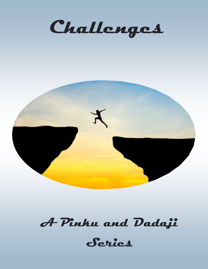



# **A Pinku and Dadaji**

**Series**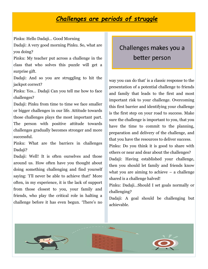#### *Challenges are periods of struggle*

Pinku: Hello Dadaji… Good Morning

Dadaji: A very good morning Pinku. So, what are you doing?

Pinku: My teacher put across a challenge in the class that who solves this puzzle will get a surprise gift.

Dadaji: And so you are struggling to hit the jackpot correct?

Pinku: Yes… Dadaji Can you tell me how to face challenges?

Dadaji: Pinku from time to time we face smaller or bigger challenges in our life. Attitude towards those challenges plays the most important part. The person with positive attitude towards challenges gradually becomes stronger and more successful.

Pinku: What are the barriers in challenges Dadaji?

Dadaji: Well! It is often ourselves and those around us. How often have you thought about doing something challenging and find yourself saying: 'I'll never be able to achieve that!' More often, in my experience, it is the lack of support from those closest to you, your family and friends, who play the critical role in halting a challenge before it has even begun. 'There's no

### Challenges makes you a better person

way you can do that' is a classic response to the presentation of a potential challenge to friends and family that leads to the first and most important risk to your challenge. Overcoming this first barrier and identifying your challenge is the first step on your road to success. Make sure the challenge is important to you, that you have the time to commit to the planning, preparation and delivery of the challenge, and that you have the resources to deliver success. Pinku: Do you think it is good to share with others or near and dear about the challenges? Dadaji: Having established your challenge, then you should let family and friends know what you are aiming to achieve – a challenge shared is a challenge halved!

Pinku: Dadaji…Should I set goals normally or challenging?

Dadaji: A goal should be challenging but achievable.

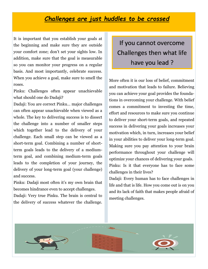#### *Challenges are just huddles to be crossed*

It is important that you establish your goals at the beginning and make sure they are outside your comfort zone; don't set your sights low. In addition, make sure that the goal is measurable so you can monitor your progress on a regular basis. And most importantly, celebrate success. When you achieve a goal, make sure to smell the roses.

Pinku: Challenges often appear unachievable what should one do Dadaji?

Dadaji: You are correct Pinku… major challenges can often appear unachievable when viewed as a whole. The key to delivering success is to dissect the challenge into a number of smaller steps which together lead to the delivery of your challenge. Each small step can be viewed as a short-term goal. Combining a number of shortterm goals leads to the delivery of a mediumterm goal, and combining medium-term goals leads to the completion of your journey, the delivery of your long-term goal (your challenge) and success.

Pinku: Dadaji most often it's my own brain that becomes hindrance even to accept challenges.

Dadaji: Very true Pinku. The brain is central to the delivery of success whatever the challenge.

If you cannot overcome Challenges then what life have you lead ?

More often it is our loss of belief, commitment and motivation that leads to failure. Believing you can achieve your goal provides the foundations in overcoming your challenge. With belief comes a commitment to investing the time, effort and resources to make sure you continue to deliver your short-term goals, and repeated success in delivering your goals increases your motivation which, in turn, increases your belief in your abilities to deliver your long-term goal. Making sure you pay attention to your brain performance throughout your challenge will optimize your chances of delivering your goals. Pinku: Is it that everyone has to face some challenges in their lives?

Dadaji: Every human has to face challenges in life and that is life. How you come out is on you and its lack of faith that makes people afraid of meeting challenges.

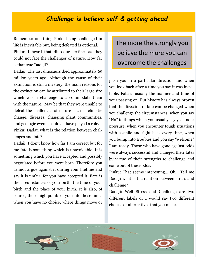#### *Challenge is believe self & getting ahead*

Remember one thing Pinku being challenged in life is inevitable but, being defeated is optional.

Pinku: I heard that dinosaurs extinct as they could not face the challenges of nature. How far is that true Dadaji?

Dadaji: The last dinosaurs died approximately 65 million years ago. Although the cause of their extinction is still a mystery, the main reasons for the extinction can be attributed to their large size which was a challenge to accommodate them with the nature. May be that they were unable to defeat the challenges of nature such as climatic change, diseases, changing plant communities, and geologic events could all have played a role.

Pinku: Dadaji what is the relation between challenges and fate?

Dadaji: I don't know how far I am correct but for me fate is something which is unavoidable. It is something which you have accepted and possibly negotiated before you were born. Therefore you cannot argue against it during your lifetime and say it is unfair, for you have accepted it. Fate is the circumstances of your birth, the time of your birth and the place of your birth. It is also, of course, those high points of your life those times when you have no choice, where things move or The more the strongly you believe the more you can overcome the challenges

push you in a particular direction and when you look back after a time you say it was inevitable. Fate is usually the manner and time of your passing on. But history has always proven that the direction of fate can be changed when you challenge the circumstances, when you say "No" to things which you usually say yes under pressure, when you encounter tough situations with a smile and fight back every time, when you bump into troubles and you say "welcome" I am ready. Those who have gone against odds were always successful and changed their fates by virtue of their strengths to challenge and come out of these odds.

Pinku: That seems interesting… Ok… Tell me Dadaji what is the relation between stress and challenge?

Dadaji: Well Stress and Challenge are two different labels or I would say two different choices or alternatives that you make.

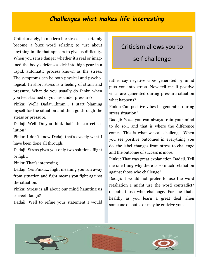#### *Challenges what makes life interesting*

Unfortunately, in modern life stress has certainly become a buzz word relating to just about anything in life that appears to give us difficulty. When you sense danger whether it's real or imagined the body's defenses kick into high gear in a rapid, automatic process known as the stress. The symptoms can be both physical and psychological. In short stress is a feeling of strain and pressure. What do you usually do Pinku when you feel strained or you are under pressure?

Pinku: Well! Dadaji…hmm… I start blaming myself for the situation and then go through the stress or pressure.

Dadaji: Well! Do you think that's the correct solution?

Pinku: I don't know Dadaji that's exactly what I have been done all through.

Dadaji: Stress gives you only two solutions flight or fight.

Pinku: That's interesting.

Dadaji: Yes Pinku… flight meaning you run away from situation and fight means you fight against the situation.

Pinku: Stress is all about our mind haunting us correct Dadaji?

Dadaji: Well to refine your statement I would

## Criticism allows you to self challenge

rather say negative vibes generated by mind puts you into stress. Now tell me if positive vibes are generated during pressure situation what happens?

Pinku: Can positive vibes be generated during stress situation?

Dadaji: Yes… you can always train your mind to do so… and that is where the difference comes. This is what we call challenge. When you see positive outcomes in everything you do, the label changes from stress to challenge and the outcome of success is more.

Pinku: That was great explanation Dadaji. Tell me one thing why there is so much retaliation against those who challenge?

Dadaji: I would not prefer to use the word retaliation I might use the word contradict/ dispute those who challenge. For me that's healthy as you learn a great deal when someone disputes or may be criticize you.

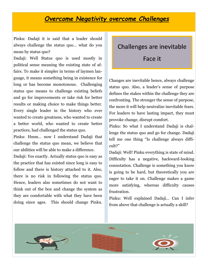#### *Overcome Negativity overcome Challenges*

Pinku: Dadaji it is said that a leader should always challenge the status quo… what do you mean by status quo?

Dadaji: Well Status quo is used mostly in political sense meaning the existing state of affairs. To make it simpler in terms of laymen language, it means something being in existence for long or has become monotonous. Challenging status quo means to challenge existing beliefs and go for improvements or take risk for better results or making choice to make things better. Every single leader in the history who ever wanted to create greatness, who wanted to create a better world, who wanted to create better practices, had challenged the status quo.

Pinku: Hmm… now I understand Dadaji that challenge the status quo mean, we believe that our abilities will be able to make a difference.

Dadaji: Yes exactly. Actually status quo is easy as the practice that has existed since long is easy to follow and there is history attached to it. Also, there is no risk in following the status quo. Hence, leaders also sometimes do not want to think out of the box and change the system as they are comfortable with what they have been doing since ages. This should change Pinku.

## Challenges are inevitable

#### Face it

Changes are inevitable hence, always challenge status quo. Also, a leader's sense of purpose defines the stakes within the challenge they are confronting. The stronger the sense of purpose, the more it will help neutralize inevitable fears. For leaders to have lasting impact, they must provoke change, disrupt comfort.

Pinku: So what I understand Dadaji is challenge the status quo and go for change. Dadaji tell me one thing "Is challenge always difficult?"

Dadaji: Well! Pinku everything is state of mind. Difficulty has a negative, backward-looking connotation. Challenge is something you know is going to be hard, but theoretically you are eager to take it on. Challenge makes a game more satisfying, whereas difficulty causes frustration.

Pinku: Well explained Dadaji… Can I infer from above that challenge is actually a skill?

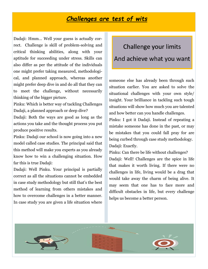#### *Challenges are test of wits*

Dadaji: Hmm… Well your guess is actually correct. Challenge is skill of problem-solving and critical thinking abilities, along with your aptitude for succeeding under stress. Skills can also differ as per the attitude of the individuals one might prefer taking measured, methodological, and planned approach, whereas another might prefer deep dive in and do all that they can to meet the challenge, without necessarily thinking of the bigger picture.

Pinku: Which is better way of tackling Challenges Dadaji, a planned approach or deep dive?

Dadaji: Both the ways are good as long as the actions you take and the thought process you put produce positive results.

Pinku: Dadaji our school is now going into a new model called case studies. The principal said that this method will make you experts as you already know how to win a challenging situation. How far this is true Dadaji:

Dadaji: Well Pinku. Your principal is partially correct as all the situations cannot be embedded in case study methodology but still that's the best method of learning from others mistakes and how to overcome challenges in a better manner. In case study you are given a life situation where

## Challenge your limits And achieve what you want

someone else has already been through such situation earlier. You are asked to solve the situational challenges with your own style/ insight. Your brilliance in tackling such tough situations will show how much you are talented and how better can you handle challenges.

Pinku: I got it Dadaji. Instead of repeating a mistake someone has done in the past, or may be mistakes that you could fall pray for are being curbed through case study methodology. Dadaji: Exactly.

Pinku: Can there be life without challenges? Dadaji: Well! Challenges are the spice in life that makes it worth living. If there were no challenges in life, living would be a drag that would take away the charm of being alive. It may seem that one has to face more and difficult obstacles in life, but every challenge helps us become a better person.

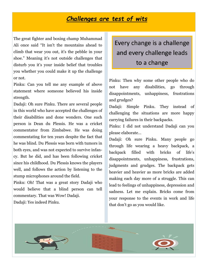#### *Challenges are test of wits*

The great fighter and boxing champ Muhammad Ali once said "It isn't the mountains ahead to climb that wear you out, it's the pebble in your shoe." Meaning it's not outside challenges that disturb you it's your inside belief that troubles you whether you could make it up the challenge or not.

Pinku: Can you tell me any example of above statement where someone believed his inside strength.

Dadaji: Oh sure Pinku. There are several people in this world who have accepted the challenges of their disabilities and done wonders. One such person is Dean du Plessis. He was a cricket commentator from Zimbabwe. He was doing commentating for ten years despite the fact that he was blind. Du Plessis was born with tumors in both eyes, and was not expected to survive infancy. But he did, and has been following cricket since his childhood. Du Plessis knows the players well, and follows the action by listening to the stump microphones around the field.

Pinku: Oh! That was a great story Dadaji who would believe that a blind person can tell commentary. That was Wow! Dadaji. Dadaji: Yes indeed Pinku.

### Every change is a challenge and every challenge leads to a change

Pinku: Then why some other people who do not have any disabilities, go through disappointments, unhappiness, frustrations and grudges?

Dadaji: Simple Pinku. They instead of challenging the situations are more happy carrying failures in their backpacks.

Pinku: I did not understand Dadaji can you please elaborate…

Dadaji: Oh sure Pinku. Many people go through life wearing a heavy backpack, a backpack filled with bricks of life's disappointments, unhappiness, frustrations, judgments and grudges. The backpack gets heavier and heavier as more bricks are added making each day more of a struggle. This can lead to feelings of unhappiness, depression and sadness. Let me explain. Bricks come from your response to the events in work and life that don't go as you would like.

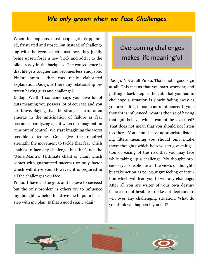#### *We only grown when we face Challenges*

When this happens, most people get disappointed, frustrated and upset. But instead of challenging with the event or circumstance, they justify being upset, forge a new brick and add it to the pile already in the backpack. The consequence is that life gets tougher and becomes less enjoyable. Pinku: hmm… that was really elaborated explanation Dadaji. Is there any relationship between having guts and challenge?

Dadaji: Well! If someone says you have lot of guts meaning you possess lot of courage and you are brave. Saying that the strongest fears often emerge in the anticipation of failure as fear become a paralyzing agent when our imagination runs out of control. We start imagining the worst possible outcome. Guts give the required strength, the movement to tackle that fear which enables to face any challenge, but that's not the "Mula Mantra" (Ultimate chant or chant which comes with guaranteed success) or only factor which will drive you. However, it is required in all the challenges you face.

Pinku: I have all the guts and believe to succeed but the only problem is others try to influence my thoughts which often drive me to put a backstep with my plan. Is that a good sign Dadaji?

### Overcoming challenges makes life meaningful

Dadaji: Not at all Pinku. That's not a good sign at all. This means that you start worrying and putting a back-step or the guts that you had to challenge a situation is slowly fading away as you are falling in someone's influence. If your thought is influenced, what is the use of having that gut believe which cannot be executed? That does not mean that you should not listen to others. You should have appropriate listening filters meaning you should only intake those thoughts which help you to give mitigation or easing of the risk that you may face while taking up a challenge. My thought process say's consolidate all the views or thoughts but take action as per your gut feeling or intuition which will lead you to win any challenge. After all you are writer of your own destiny hence; do not hesitate to take apt decisions to win over any challenging situation. What do you think will happen if you fail?

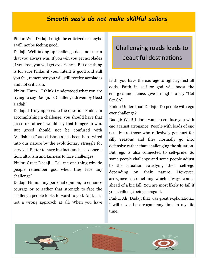#### *Smooth sea's do not make skillful sailors*

Pinku: Well Dadaji I might be criticized or maybe I will not be feeling good.

Dadaji: Well taking up challenge does not mean that you always win. If you win you get accolades if you lose, you will get experience. But one thing is for sure Pinku, if your intent is good and still you fail, remember you will still receive accolades and not criticism.

Pinku: Hmm… I think I understood what you are trying to say Dadaji. Is Challenge driven by Geed Dadaji?

Dadaji: I truly appreciate the question Pinku. In accomplishing a challenge, you should have that greed or rather I would say that hunger to win. But greed should not be confused with "Selfishness" as selfishness has been hard-wired into our nature by the evolutionary struggle for survival. Better to have instincts such as cooperation, altruism and fairness to face challenges.

Pinku: Great Dadaji… Tell me one thing why do people remember god when they face any challenge?

Dadaji: Hmm… my personal opinion, to enhance courage or to gather that strength to face the challenge people looks forward to god. And, it is not a wrong approach at all. When you have

### Challenging roads leads to beautiful destinations

faith, you have the courage to fight against all odds. Faith in self or god will boost the energies and hence, give strength to say "Get Set Go".

Pinku: Understood Dadaji. Do people with ego ever challenge?

Dadaji: Well! I don't want to confuse you with ego against arrogance. People with loads of ego usually are those who reflexively get hurt for silly reasons and they normally go into defensive rather than challenging the situation. But, ego is also connected to self-pride. So some people challenge and some people adjust to the situation satisfying their self-ego depending on their nature. However, arrogance is something which always comes ahead of a big fall. You are most likely to fail if you challenge being arrogant.

Pinku: Ah! Dadaji that was great explanation… I will never be arrogant any time in my life time.